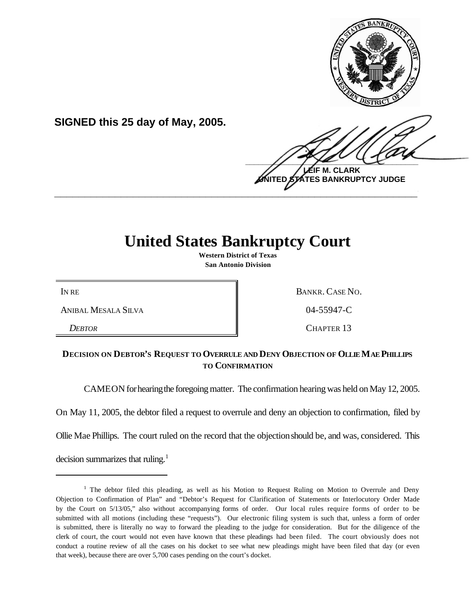

**SIGNED this 25 day of May, 2005.**

 $\frac{1}{2}$ **IF M. CLARK ATES BANKRUPTCY JUDGE** 

## **United States Bankruptcy Court**

**\_\_\_\_\_\_\_\_\_\_\_\_\_\_\_\_\_\_\_\_\_\_\_\_\_\_\_\_\_\_\_\_\_\_\_\_\_\_\_\_\_\_\_\_\_\_\_\_\_\_\_\_\_\_\_\_\_\_\_\_**

**Western District of Texas San Antonio Division**

ANIBAL MESALA SILVA  $\parallel$  04-55947-C

IN RE BANKR. CASE NO.

**DEBTOR** CHAPTER 13

## **DECISION ON DEBTOR'S REQUEST TO OVERRULE AND DENY OBJECTION OF OLLIE MAE PHILLIPS TO CONFIRMATION**

CAMEON for hearing the foregoing matter. The confirmation hearing was held on May 12, 2005.

On May 11, 2005, the debtor filed a request to overrule and deny an objection to confirmation, filed by

Ollie Mae Phillips. The court ruled on the record that the objectionshould be, and was, considered. This

decision summarizes that ruling.<sup>1</sup>

 $<sup>1</sup>$  The debtor filed this pleading, as well as his Motion to Request Ruling on Motion to Overrule and Deny</sup> Objection to Confirmation of Plan" and "Debtor's Request for Clarification of Statements or Interlocutory Order Made by the Court on 5/13/05," also without accompanying forms of order. Our local rules require forms of order to be submitted with all motions (including these "requests"). Our electronic filing system is such that, unless a form of order is submitted, there is literally no way to forward the pleading to the judge for consideration. But for the diligence of the clerk of court, the court would not even have known that these pleadings had been filed. The court obviously does not conduct a routine review of all the cases on his docket to see what new pleadings might have been filed that day (or even that week), because there are over 5,700 cases pending on the court's docket.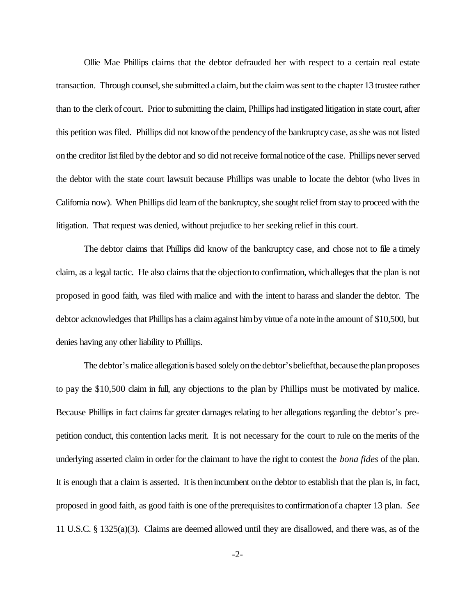Ollie Mae Phillips claims that the debtor defrauded her with respect to a certain real estate transaction. Through counsel, she submitted a claim, but the claim was sent to the chapter 13 trustee rather than to the clerk of court. Prior to submitting the claim, Phillips had instigated litigation in state court, after this petition was filed. Phillips did not know of the pendency of the bankruptcy case, as she was not listed on the creditor list filed by the debtor and so did not receive formal notice of the case. Phillips never served the debtor with the state court lawsuit because Phillips was unable to locate the debtor (who lives in California now). When Phillips did learn of the bankruptcy, she sought relief from stay to proceed with the litigation. That request was denied, without prejudice to her seeking relief in this court.

The debtor claims that Phillips did know of the bankruptcy case, and chose not to file a timely claim, as a legal tactic. He also claims that the objectionto confirmation, whichalleges that the plan is not proposed in good faith, was filed with malice and with the intent to harass and slander the debtor. The debtor acknowledges that Phillips has a claim against him by virtue of a note in the amount of \$10,500, but denies having any other liability to Phillips.

The debtor's malice allegation is based solely on the debtor's beliefthat, because the plan proposes to pay the \$10,500 claim in full, any objections to the plan by Phillips must be motivated by malice. Because Phillips in fact claims far greater damages relating to her allegations regarding the debtor's prepetition conduct, this contention lacks merit. It is not necessary for the court to rule on the merits of the underlying asserted claim in order for the claimant to have the right to contest the *bona fides* of the plan. It is enough that a claim is asserted. It isthenincumbent onthe debtor to establish that the plan is, in fact, proposed in good faith, as good faith is one ofthe prerequisitesto confirmationof a chapter 13 plan. *See* 11 U.S.C. § 1325(a)(3). Claims are deemed allowed until they are disallowed, and there was, as of the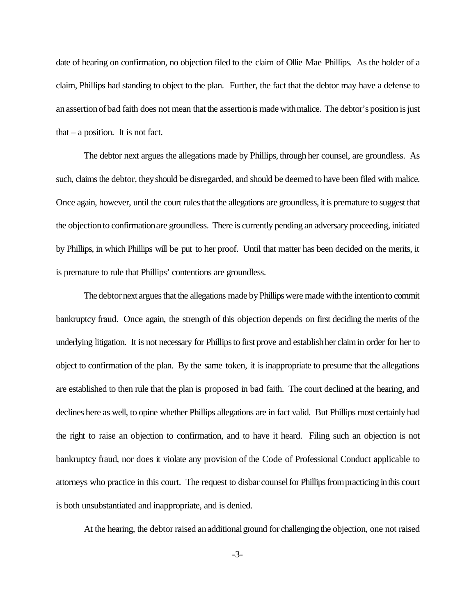date of hearing on confirmation, no objection filed to the claim of Ollie Mae Phillips. As the holder of a claim, Phillips had standing to object to the plan. Further, the fact that the debtor may have a defense to anassertionofbad faith does not mean that the assertionis made withmalice. The debtor's position is just that  $-$  a position. It is not fact.

The debtor next argues the allegations made by Phillips, through her counsel, are groundless. As such, claims the debtor, they should be disregarded, and should be deemed to have been filed with malice. Once again, however, until the court rules that the allegations are groundless, it is premature to suggest that the objectionto confirmationare groundless. There is currently pending an adversary proceeding, initiated by Phillips, in which Phillips will be put to her proof. Until that matter has been decided on the merits, it is premature to rule that Phillips' contentions are groundless.

The debtor next argues that the allegations made by Phillips were made with the intention to commit bankruptcy fraud. Once again, the strength of this objection depends on first deciding the merits of the underlying litigation. It is not necessary for Phillipsto first prove and establishher claimin order for her to object to confirmation of the plan. By the same token, it is inappropriate to presume that the allegations are established to then rule that the plan is proposed in bad faith. The court declined at the hearing, and declines here as well, to opine whether Phillips allegations are in fact valid. But Phillips most certainly had the right to raise an objection to confirmation, and to have it heard. Filing such an objection is not bankruptcy fraud, nor does it violate any provision of the Code of Professional Conduct applicable to attorneys who practice in this court. The request to disbar counselfor Phillipsfrompracticing inthis court is both unsubstantiated and inappropriate, and is denied.

At the hearing, the debtor raised an additional ground for challenging the objection, one not raised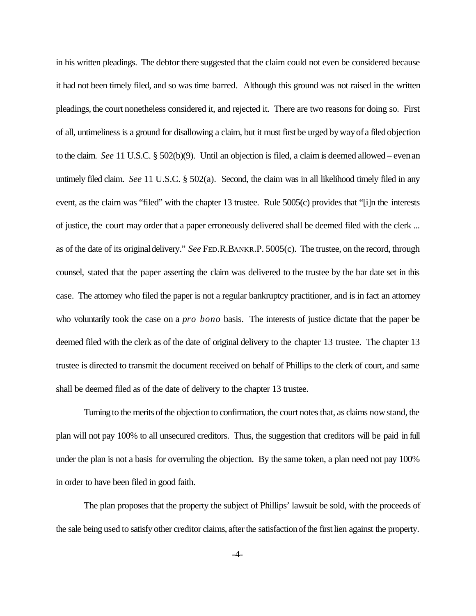in his written pleadings. The debtor there suggested that the claim could not even be considered because it had not been timely filed, and so was time barred. Although this ground was not raised in the written pleadings, the court nonetheless considered it, and rejected it. There are two reasons for doing so. First of all, untimeliness is a ground for disallowing a claim, but it must first be urged bywayof a filed objection to the claim. *See* 11 U.S.C. § 502(b)(9). Until an objection is filed, a claim is deemed allowed – evenan untimely filed claim. *See* 11 U.S.C. § 502(a). Second, the claim was in all likelihood timely filed in any event, as the claim was "filed" with the chapter 13 trustee. Rule 5005(c) provides that "[i]n the interests of justice, the court may order that a paper erroneously delivered shall be deemed filed with the clerk ... as of the date of its originaldelivery." *See* FED.R.BANKR.P. 5005(c). The trustee, on the record, through counsel, stated that the paper asserting the claim was delivered to the trustee by the bar date set in this case. The attorney who filed the paper is not a regular bankruptcy practitioner, and is in fact an attorney who voluntarily took the case on a *pro bono* basis. The interests of justice dictate that the paper be deemed filed with the clerk as of the date of original delivery to the chapter 13 trustee. The chapter 13 trustee is directed to transmit the document received on behalf of Phillips to the clerk of court, and same shall be deemed filed as of the date of delivery to the chapter 13 trustee.

Turning to the merits of the objection to confirmation, the court notes that, as claims now stand, the plan will not pay 100% to all unsecured creditors. Thus, the suggestion that creditors will be paid in full under the plan is not a basis for overruling the objection. By the same token, a plan need not pay 100% in order to have been filed in good faith.

The plan proposes that the property the subject of Phillips' lawsuit be sold, with the proceeds of the sale being used to satisfy other creditor claims, after the satisfaction of the first lien against the property.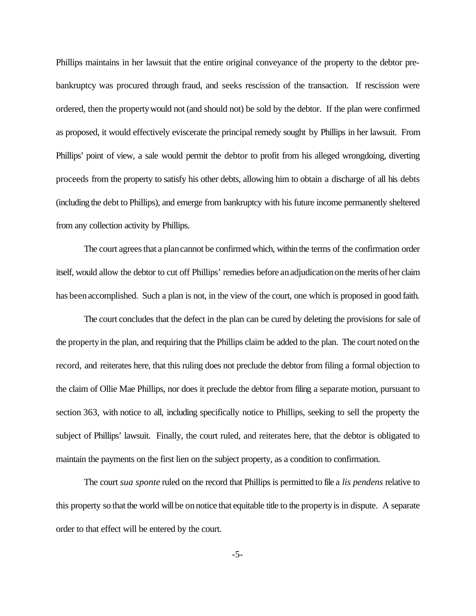Phillips maintains in her lawsuit that the entire original conveyance of the property to the debtor prebankruptcy was procured through fraud, and seeks rescission of the transaction. If rescission were ordered, then the propertywould not(and should not) be sold by the debtor. If the plan were confirmed as proposed, it would effectively eviscerate the principal remedy sought by Phillips in her lawsuit. From Phillips' point of view, a sale would permit the debtor to profit from his alleged wrongdoing, diverting proceeds from the property to satisfy his other debts, allowing him to obtain a discharge of all his debts (including the debt to Phillips), and emerge from bankruptcy with his future income permanently sheltered from any collection activity by Phillips.

The court agrees that a plan cannot be confirmed which, within the terms of the confirmation order itself, would allow the debtor to cut off Phillips' remedies before an adjudication on the merits of her claim has been accomplished. Such a plan is not, in the view of the court, one which is proposed in good faith.

The court concludes that the defect in the plan can be cured by deleting the provisions for sale of the propertyin the plan, and requiring that the Phillips claim be added to the plan. The court noted onthe record, and reiterates here, that this ruling does not preclude the debtor from filing a formal objection to the claim of Ollie Mae Phillips, nor does it preclude the debtor from filing a separate motion, pursuant to section 363, with notice to all, including specifically notice to Phillips, seeking to sell the property the subject of Phillips' lawsuit. Finally, the court ruled, and reiterates here, that the debtor is obligated to maintain the payments on the first lien on the subject property, as a condition to confirmation.

The court *sua sponte* ruled on the record that Phillips is permitted to file a *lis pendens* relative to this property so that the world will be on notice that equitable title to the property is in dispute. A separate order to that effect will be entered by the court.